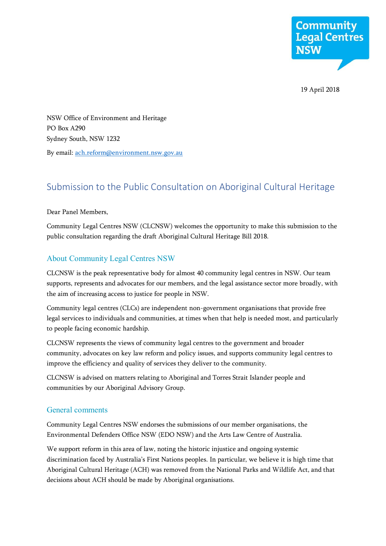

19 April 2018

NSW Office of Environment and Heritage PO Box A290 Sydney South, NSW 1232 By email[: ach.reform@environment.nsw.gov.au](mailto:ach.reform@environment.nsw.gov.au)

# Submission to the Public Consultation on Aboriginal Cultural Heritage

Dear Panel Members,

Community Legal Centres NSW (CLCNSW) welcomes the opportunity to make this submission to the public consultation regarding the draft Aboriginal Cultural Heritage Bill 2018.

# About Community Legal Centres NSW

CLCNSW is the peak representative body for almost 40 community legal centres in NSW. Our team supports, represents and advocates for our members, and the legal assistance sector more broadly, with the aim of increasing access to justice for people in NSW.

Community legal centres (CLCs) are independent non-government organisations that provide free legal services to individuals and communities, at times when that help is needed most, and particularly to people facing economic hardship.

CLCNSW represents the views of community legal centres to the government and broader community, advocates on key law reform and policy issues, and supports community legal centres to improve the efficiency and quality of services they deliver to the community.

CLCNSW is advised on matters relating to Aboriginal and Torres Strait Islander people and communities by our Aboriginal Advisory Group.

# General comments

Community Legal Centres NSW endorses the submissions of our member organisations, the Environmental Defenders Office NSW (EDO NSW) and the Arts Law Centre of Australia.

We support reform in this area of law, noting the historic injustice and ongoing systemic discrimination faced by Australia's First Nations peoples. In particular, we believe it is high time that Aboriginal Cultural Heritage (ACH) was removed from the National Parks and Wildlife Act, and that decisions about ACH should be made by Aboriginal organisations.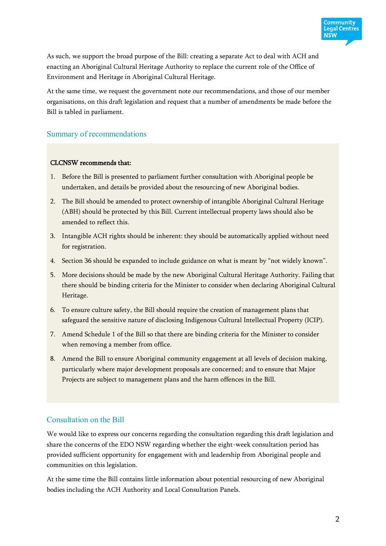

As such, we support the broad purpose of the Bill: creating a separate Act to deal with ACH and enacting an Aboriginal Cultural Heritage Authority to replace the current role of the Office of Environment and Heritage in Aboriginal Cultural Heritage.

At the same time, we request the government note our recommendations, and those of our member organisations, on this draft legislation and request that a number of amendments be made before the Bill is tabled in parliament.

## Summary of recommendations

## CLCNSW recommends that:

- 1. Before the Bill is presented to parliament further consultation with Aboriginal people be undertaken, and details be provided about the resourcing of new Aboriginal bodies.
- 2. The Bill should be amended to protect ownership of intangible Aboriginal Cultural Heritage (ABH) should be protected by this Bill. Current intellectual property laws should also be amended to reflect this.
- 3. Intangible ACH rights should be inherent: they should be automatically applied without need for registration.
- 4. Section 36 should be expanded to include guidance on what is meant by "not widely known".
- 5. More decisions should be made by the new Aboriginal Cultural Heritage Authority. Failing that there should be binding criteria for the Minister to consider when declaring Aboriginal Cultural Heritage.
- 6. To ensure culture safety, the Bill should require the creation of management plans that safeguard the sensitive nature of disclosing Indigenous Cultural Intellectual Property (ICIP).
- 7. Amend Schedule 1 of the Bill so that there are binding criteria for the Minister to consider when removing a member from office.
- 8. Amend the Bill to ensure Aboriginal community engagement at all levels of decision making, particularly where major development proposals are concerned; and to ensure that Major Projects are subject to management plans and the harm offences in the Bill.

# Consultation on the Bill

We would like to express our concerns regarding the consultation regarding this draft legislation and share the concerns of the EDO NSW regarding whether the eight-week consultation period has provided sufficient opportunity for engagement with and leadership from Aboriginal people and communities on this legislation.

At the same time the Bill contains little information about potential resourcing of new Aboriginal bodies including the ACH Authority and Local Consultation Panels.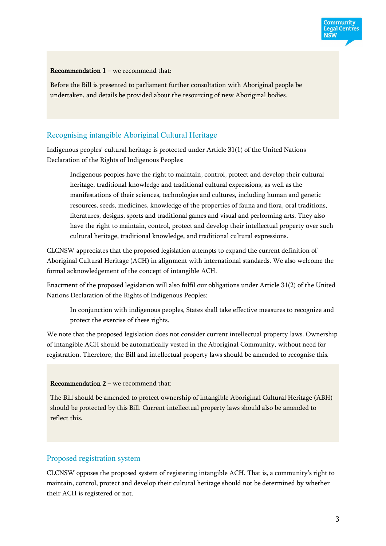Recommendation  $1 -$  we recommend that:

Before the Bill is presented to parliament further consultation with Aboriginal people be undertaken, and details be provided about the resourcing of new Aboriginal bodies.

# Recognising intangible Aboriginal Cultural Heritage

Indigenous peoples' cultural heritage is protected under Article 31(1) of the United Nations Declaration of the Rights of Indigenous Peoples:

Indigenous peoples have the right to maintain, control, protect and develop their cultural heritage, traditional knowledge and traditional cultural expressions, as well as the manifestations of their sciences, technologies and cultures, including human and genetic resources, seeds, medicines, knowledge of the properties of fauna and flora, oral traditions, literatures, designs, sports and traditional games and visual and performing arts. They also have the right to maintain, control, protect and develop their intellectual property over such cultural heritage, traditional knowledge, and traditional cultural expressions.

CLCNSW appreciates that the proposed legislation attempts to expand the current definition of Aboriginal Cultural Heritage (ACH) in alignment with international standards. We also welcome the formal acknowledgement of the concept of intangible ACH.

Enactment of the proposed legislation will also fulfil our obligations under Article 31(2) of the United Nations Declaration of the Rights of Indigenous Peoples:

In conjunction with indigenous peoples, States shall take effective measures to recognize and protect the exercise of these rights.

We note that the proposed legislation does not consider current intellectual property laws. Ownership of intangible ACH should be automatically vested in the Aboriginal Community, without need for registration. Therefore, the Bill and intellectual property laws should be amended to recognise this.

### Recommendation 2 – we recommend that:

The Bill should be amended to protect ownership of intangible Aboriginal Cultural Heritage (ABH) should be protected by this Bill. Current intellectual property laws should also be amended to reflect this.

## Proposed registration system

CLCNSW opposes the proposed system of registering intangible ACH. That is, a community's right to maintain, control, protect and develop their cultural heritage should not be determined by whether their ACH is registered or not.

**Community** Legal Centres **NSW**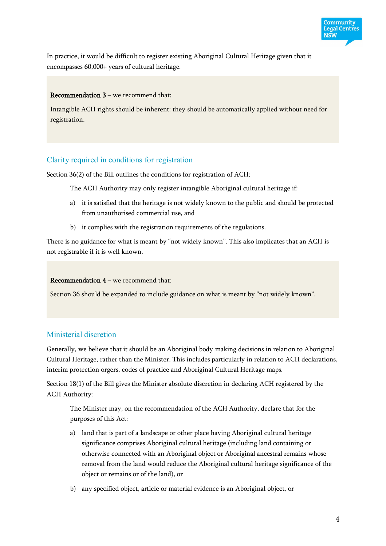

## Recommendation 3 – we recommend that:

Intangible ACH rights should be inherent: they should be automatically applied without need for registration.

## Clarity required in conditions for registration

Section 36(2) of the Bill outlines the conditions for registration of ACH:

The ACH Authority may only register intangible Aboriginal cultural heritage if:

- a) it is satisfied that the heritage is not widely known to the public and should be protected from unauthorised commercial use, and
- b) it complies with the registration requirements of the regulations.

There is no guidance for what is meant by "not widely known". This also implicates that an ACH is not registrable if it is well known.

Recommendation 4 – we recommend that:

Section 36 should be expanded to include guidance on what is meant by "not widely known".

# Ministerial discretion

Generally, we believe that it should be an Aboriginal body making decisions in relation to Aboriginal Cultural Heritage, rather than the Minister. This includes particularly in relation to ACH declarations, interim protection orgers, codes of practice and Aboriginal Cultural Heritage maps.

Section 18(1) of the Bill gives the Minister absolute discretion in declaring ACH registered by the ACH Authority:

The Minister may, on the recommendation of the ACH Authority, declare that for the purposes of this Act:

- a) land that is part of a landscape or other place having Aboriginal cultural heritage significance comprises Aboriginal cultural heritage (including land containing or otherwise connected with an Aboriginal object or Aboriginal ancestral remains whose removal from the land would reduce the Aboriginal cultural heritage significance of the object or remains or of the land), or
- b) any specified object, article or material evidence is an Aboriginal object, or

**Community** Legal Centres **NSW**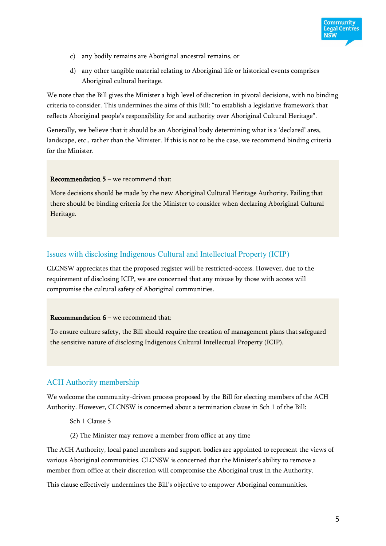

- c) any bodily remains are Aboriginal ancestral remains, or
- d) any other tangible material relating to Aboriginal life or historical events comprises Aboriginal cultural heritage.

We note that the Bill gives the Minister a high level of discretion in pivotal decisions, with no binding criteria to consider. This undermines the aims of this Bill: "to establish a legislative framework that reflects Aboriginal people's responsibility for and authority over Aboriginal Cultural Heritage".

Generally, we believe that it should be an Aboriginal body determining what is a 'declared' area, landscape, etc., rather than the Minister. If this is not to be the case, we recommend binding criteria for the Minister.

### Recommendation 5 – we recommend that:

More decisions should be made by the new Aboriginal Cultural Heritage Authority. Failing that there should be binding criteria for the Minister to consider when declaring Aboriginal Cultural Heritage.

## Issues with disclosing Indigenous Cultural and Intellectual Property (ICIP)

CLCNSW appreciates that the proposed register will be restricted-access. However, due to the requirement of disclosing ICIP, we are concerned that any misuse by those with access will compromise the cultural safety of Aboriginal communities.

### Recommendation  $6$  – we recommend that:

To ensure culture safety, the Bill should require the creation of management plans that safeguard the sensitive nature of disclosing Indigenous Cultural Intellectual Property (ICIP).

## ACH Authority membership

We welcome the community-driven process proposed by the Bill for electing members of the ACH Authority. However, CLCNSW is concerned about a termination clause in Sch 1 of the Bill:

Sch 1 Clause 5

(2) The Minister may remove a member from office at any time

The ACH Authority, local panel members and support bodies are appointed to represent the views of various Aboriginal communities. CLCNSW is concerned that the Minister's ability to remove a member from office at their discretion will compromise the Aboriginal trust in the Authority.

This clause effectively undermines the Bill's objective to empower Aboriginal communities.